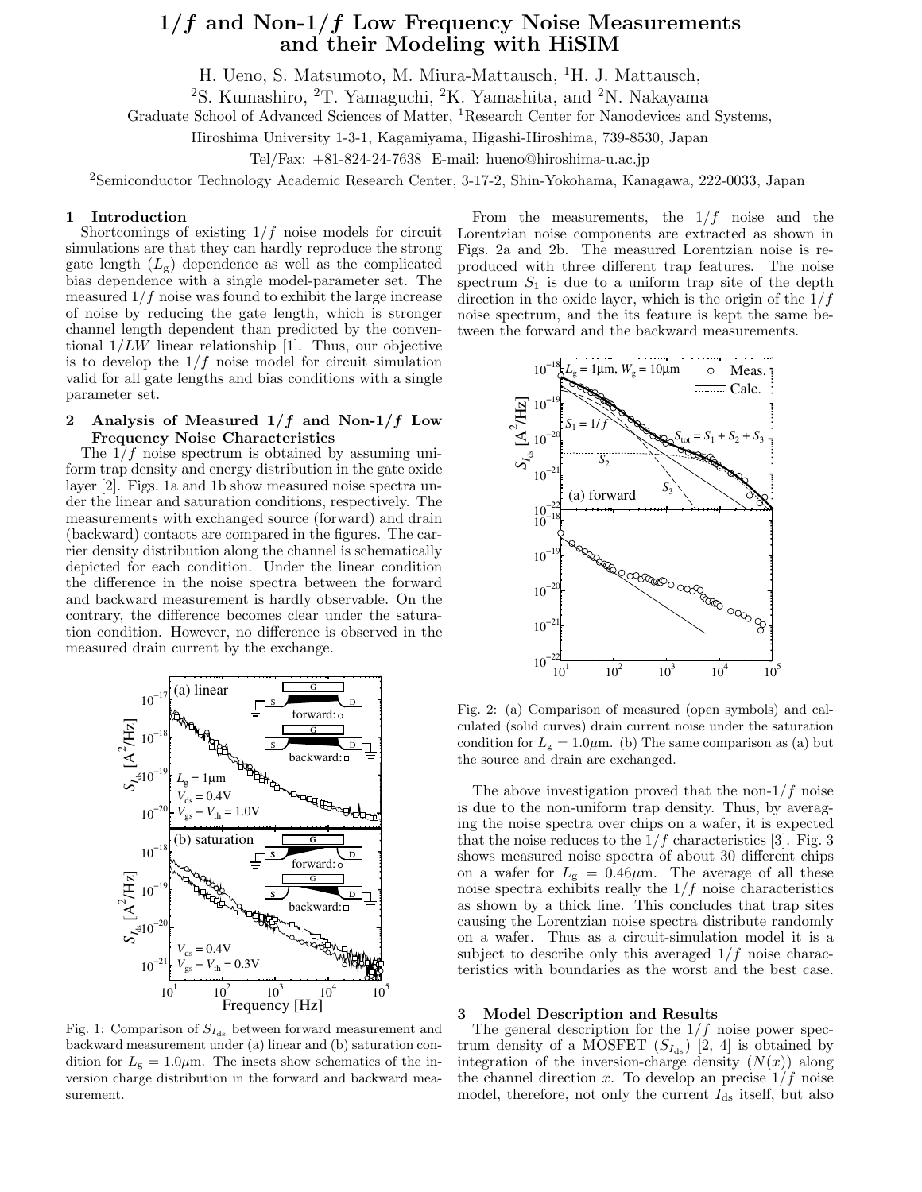# $1/f$  and Non- $1/f$  Low Frequency Noise Measurements and their Modeling with HiSIM

H. Ueno, S. Matsumoto, M. Miura-Mattausch, <sup>1</sup>H. J. Mattausch,

<sup>2</sup>S. Kumashiro, <sup>2</sup>T. Yamaguchi, <sup>2</sup>K. Yamashita, and <sup>2</sup>N. Nakayama

Graduate School of Advanced Sciences of Matter, <sup>1</sup>Research Center for Nanodevices and Systems,

Hiroshima University 1-3-1, Kagamiyama, Higashi-Hiroshima, 739-8530, Japan

Tel/Fax:  $+81-824-24-7638$  E-mail: hueno@hiroshima-u.ac.jp

<sup>2</sup>Semiconductor Technology Academic Research Center, 3-17-2, Shin-Yokohama, Kanagawa, 222-0033, Japan

#### 1 Introduction

Shortcomings of existing  $1/f$  noise models for circuit simulations are that they can hardly reproduce the strong gate length  $(L_g)$  dependence as well as the complicated bias dependence with a single model-parameter set. The measured  $1/f$  noise was found to exhibit the large increase of noise by reducing the gate length, which is stronger channel length dependent than predicted by the conventional  $1/LW$  linear relationship [1]. Thus, our objective is to develop the  $1/f$  noise model for circuit simulation valid for all gate lengths and bias conditions with a single parameter set.

## 2 Analysis of Measured  $1/f$  and Non- $1/f$  Low Frequency Noise Characteristics

The  $1/f$  noise spectrum is obtained by assuming uniform trap density and energy distribution in the gate oxide layer [2]. Figs. 1a and 1b show measured noise spectra under the linear and saturation conditions, respectively. The measurements with exchanged source (forward) and drain (backward) contacts are compared in the figures. The carrier density distribution along the channel is schematically depicted for each condition. Under the linear condition the difference in the noise spectra between the forward and backward measurement is hardly observable. On the contrary, the difference becomes clear under the saturation condition. However, no difference is observed in the measured drain current by the exchange.



Fig. 1: Comparison of  $S_{I_{ds}}$  between forward measurement and backward measurement under (a) linear and (b) saturation condition for  $L_{\rm g} = 1.0 \mu \text{m}$ . The insets show schematics of the inversion charge distribution in the forward and backward measurement.

From the measurements, the  $1/f$  noise and the Lorentzian noise components are extracted as shown in Figs. 2a and 2b. The measured Lorentzian noise is reproduced with three different trap features. The noise spectrum  $S_1$  is due to a uniform trap site of the depth direction in the oxide layer, which is the origin of the  $1/f$ noise spectrum, and the its feature is kept the same between the forward and the backward measurements.



Fig. 2: (a) Comparison of measured (open symbols) and calculated (solid curves) drain current noise under the saturation condition for  $L_{\rm g} = 1.0 \mu \text{m}$ . (b) The same comparison as (a) but the source and drain are exchanged.

The above investigation proved that the non- $1/f$  noise is due to the non-uniform trap density. Thus, by averaging the noise spectra over chips on a wafer, it is expected that the noise reduces to the  $1/f$  characteristics [3]. Fig. 3 shows measured noise spectra of about 30 different chips on a wafer for  $L_{\rm g} = 0.46 \mu \text{m}$ . The average of all these noise spectra exhibits really the  $1/f$  noise characteristics as shown by a thick line. This concludes that trap sites causing the Lorentzian noise spectra distribute randomly on a wafer. Thus as a circuit-simulation model it is a subject to describe only this averaged  $1/f$  noise characteristics with boundaries as the worst and the best case.

## 3 Model Description and Results

The general description for the  $1/f$  noise power spectrum density of a MOSFET  $(S_{I_{ds}})$  [2, 4] is obtained by integration of the inversion-charge density  $(N(x))$  along the channel direction x. To develop an precise  $1/f$  noise model, therefore, not only the current  $I_{ds}$  itself, but also